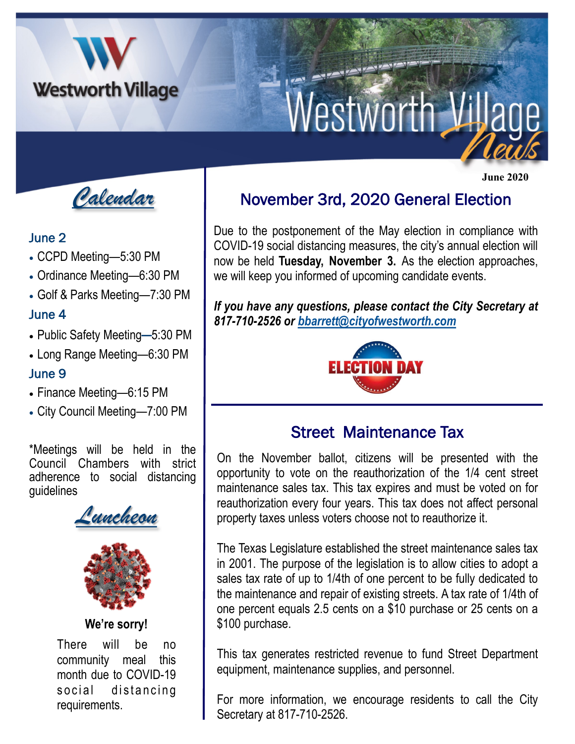

*Calendar*

#### June 2

- CCPD Meeting—5:30 PM
- Ordinance Meeting—6:30 PM
- Golf & Parks Meeting—7:30 PM

## June 4

- Public Safety Meeting—5:30 PM
- Long Range Meeting—6:30 PM

### June 9

- Finance Meeting—6:15 PM
- City Council Meeting—7:00 PM

\*Meetings will be held in the Council Chambers with strict adherence to social distancing guidelines

*Luncheon* 



#### **We're sorry!**

There will be no community meal this month due to COVID-19 social distancing requirements.

# November 3rd, 2020 General Election

 **June 2020**

Due to the postponement of the May election in compliance with COVID-19 social distancing measures, the city's annual election will now be held **Tuesday, November 3.** As the election approaches, we will keep you informed of upcoming candidate events.

*If you have any questions, please contact the City Secretary at 817-710-2526 or [bbarrett@cityofwestworth.com](mailto:bbarrett@cityofwestworth.com)*



# Street Maintenance Tax

On the November ballot, citizens will be presented with the opportunity to vote on the reauthorization of the 1/4 cent street maintenance sales tax. This tax expires and must be voted on for reauthorization every four years. This tax does not affect personal property taxes unless voters choose not to reauthorize it.

The Texas Legislature established the street maintenance sales tax in 2001. The purpose of the legislation is to allow cities to adopt a sales tax rate of up to 1/4th of one percent to be fully dedicated to the maintenance and repair of existing streets. A tax rate of 1/4th of one percent equals 2.5 cents on a \$10 purchase or 25 cents on a \$100 purchase.

This tax generates restricted revenue to fund Street Department equipment, maintenance supplies, and personnel.

For more information, we encourage residents to call the City Secretary at 817-710-2526.